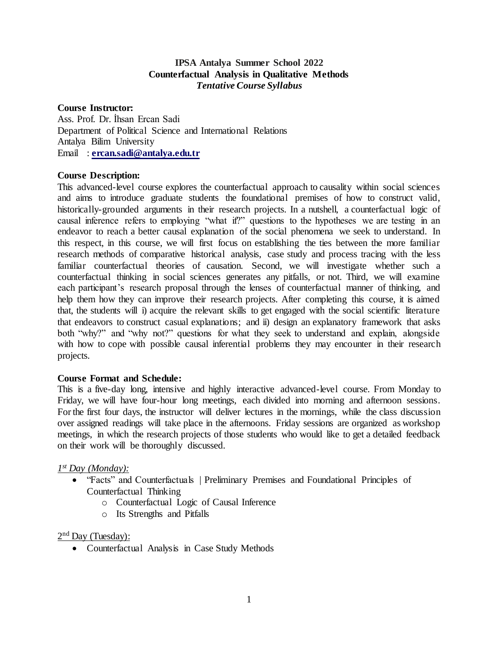### **IPSA Antalya Summer School 2022 Counterfactual Analysis in Qualitative Methods**  *Tentative Course Syllabus*

#### **Course Instructor:**

Ass. Prof. Dr. İhsan Ercan Sadi Department of Political Science and International Relations Antalya Bilim University Email : **[ercan.sadi@antalya.edu.tr](mailto:ercan.sadi@antalya.edu.tr)**

### **Course Description:**

This advanced-level course explores the counterfactual approach to causality within social sciences and aims to introduce graduate students the foundational premises of how to construct valid, historically-grounded arguments in their research projects. In a nutshell, a counterfactual logic of causal inference refers to employing "what if?" questions to the hypotheses we are testing in an endeavor to reach a better causal explanation of the social phenomena we seek to understand. In this respect, in this course, we will first focus on establishing the ties between the more familiar research methods of comparative historical analysis, case study and process tracing with the less familiar counterfactual theories of causation. Second, we will investigate whether such a counterfactual thinking in social sciences generates any pitfalls, or not. Third, we will examine each participant's research proposal through the lenses of counterfactual manner of thinking, and help them how they can improve their research projects. After completing this course, it is aimed that, the students will i) acquire the relevant skills to get engaged with the social scientific literature that endeavors to construct casual explanations; and ii) design an explanatory framework that asks both "why?" and "why not?" questions for what they seek to understand and explain, alongside with how to cope with possible causal inferential problems they may encounter in their research projects.

### **Course Format and Schedule:**

This is a five-day long, intensive and highly interactive advanced-level course. From Monday to Friday, we will have four-hour long meetings, each divided into morning and afternoon sessions. For the first four days, the instructor will deliver lectures in the mornings, while the class discussion over assigned readings will take place in the afternoons. Friday sessions are organized as workshop meetings, in which the research projects of those students who would like to get a detailed feedback on their work will be thoroughly discussed.

### *1 st Day (Monday):*

- "Facts" and Counterfactuals | Preliminary Premises and Foundational Principles of Counterfactual Thinking
	- o Counterfactual Logic of Causal Inference
	- o Its Strengths and Pitfalls

2<sup>nd</sup> Day (Tuesday):

Counterfactual Analysis in Case Study Methods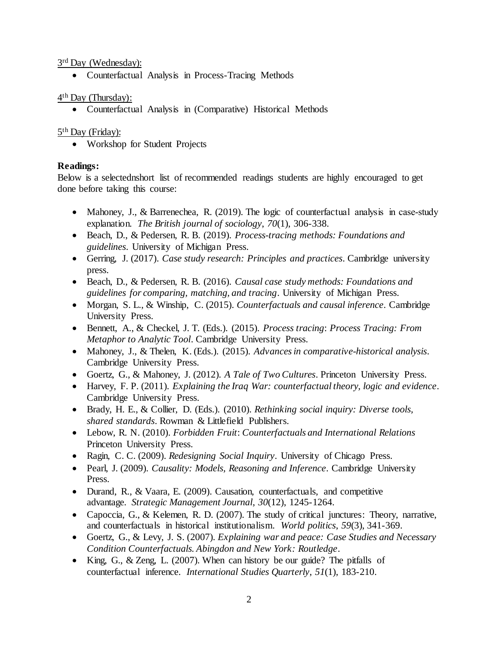3<sup>rd</sup> Day (Wednesday):

Counterfactual Analysis in Process-Tracing Methods

4<sup>th</sup> Day (Thursday):

Counterfactual Analysis in (Comparative) Historical Methods

# 5<sup>th</sup> Day (Friday):

Workshop for Student Projects

# **Readings:**

Below is a selectednshort list of recommended readings students are highly encouraged to get done before taking this course:

- Mahoney, J., & Barrenechea, R. (2019). The logic of counterfactual analysis in case-study explanation. *The British journal of sociology*, *70*(1), 306-338.
- Beach, D., & Pedersen, R. B. (2019). *Process-tracing methods: Foundations and guidelines*. University of Michigan Press.
- Gerring, J. (2017). *Case study research: Principles and practices*. Cambridge university press.
- Beach, D., & Pedersen, R. B. (2016). *Causal case study methods: Foundations and guidelines for comparing, matching, and tracing*. University of Michigan Press.
- Morgan, S. L., & Winship, C. (2015). *Counterfactuals and causal inference*. Cambridge University Press.
- Bennett, A., & Checkel, J. T. (Eds.). (2015). *Process tracing*: *Process Tracing: From Metaphor to Analytic Tool*. Cambridge University Press.
- Mahoney, J., & Thelen, K. (Eds.). (2015). *Advances in comparative-historical analysis*. Cambridge University Press.
- Goertz, G., & Mahoney, J. (2012). *A Tale of Two Cultures*. Princeton University Press.
- Harvey, F. P. (2011). *Explaining the Iraq War: counterfactual theory, logic and evidence*. Cambridge University Press.
- Brady, H. E., & Collier, D. (Eds.). (2010). *Rethinking social inquiry: Diverse tools, shared standards*. Rowman & Littlefield Publishers.
- Lebow, R. N. (2010). *Forbidden Fruit*: *Counterfactuals and International Relations* Princeton University Press.
- Ragin, C. C. (2009). *Redesigning Social Inquiry*. University of Chicago Press.
- Pearl, J. (2009). *Causality: Models, Reasoning and Inference*. Cambridge University Press.
- Durand, R., & Vaara, E. (2009). Causation, counterfactuals, and competitive advantage. *Strategic Management Journal*, *30*(12), 1245-1264.
- Capoccia, G., & Kelemen, R. D. (2007). The study of critical junctures: Theory, narrative, and counterfactuals in historical institutionalism. *World politics*, *59*(3), 341-369.
- Goertz, G., & Levy, J. S. (2007). *Explaining war and peace: Case Studies and Necessary Condition Counterfactuals. Abingdon and New York: Routledge*.
- King, G., & Zeng, L. (2007). When can history be our guide? The pitfalls of counterfactual inference. *International Studies Quarterly*, *51*(1), 183-210.